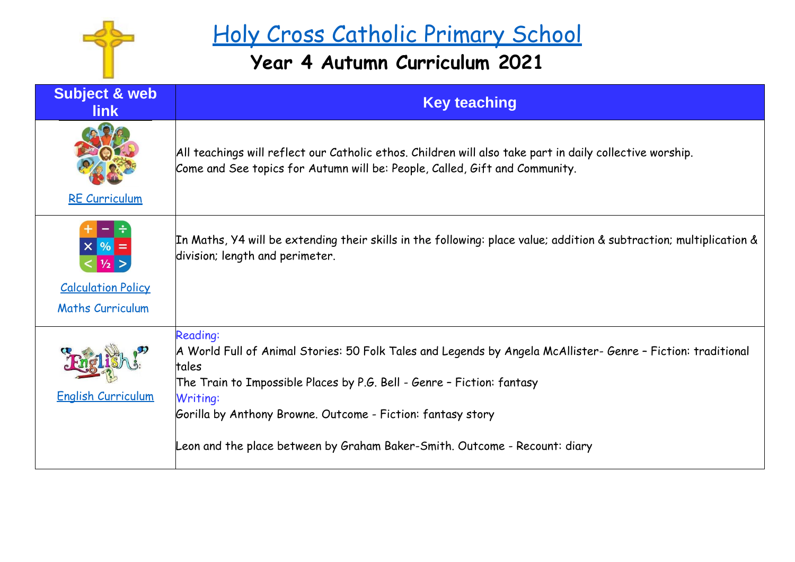

## Holy Cross Catholic Primary School

## **Year 4 Autumn Curriculum 2021**

| <b>Subject &amp; web</b><br><b>link</b>                                      | <b>Key teaching</b>                                                                                                                                                                                                                                                                                                                                                         |
|------------------------------------------------------------------------------|-----------------------------------------------------------------------------------------------------------------------------------------------------------------------------------------------------------------------------------------------------------------------------------------------------------------------------------------------------------------------------|
| <b>RE Curriculum</b>                                                         | All teachings will reflect our Catholic ethos. Children will also take part in daily collective worship.<br>Come and See topics for Autumn will be: People, Called, Gift and Community.                                                                                                                                                                                     |
| $X \mid \frac{9}{6}$<br><b>Calculation Policy</b><br><b>Maths Curriculum</b> | In Maths, Y4 will be extending their skills in the following: place value; addition & subtraction; multiplication &<br>division; length and perimeter.                                                                                                                                                                                                                      |
| <b>English Curriculum</b>                                                    | <b>Reading:</b><br>A World Full of Animal Stories: 50 Folk Tales and Legends by Angela McAllister- Genre - Fiction: traditional<br>tales<br>The Train to Impossible Places by P.G. Bell - Genre - Fiction: fantasy<br>Writing:<br>Gorilla by Anthony Browne. Outcome - Fiction: fantasy story<br>Leon and the place between by Graham Baker-Smith. Outcome - Recount: diary |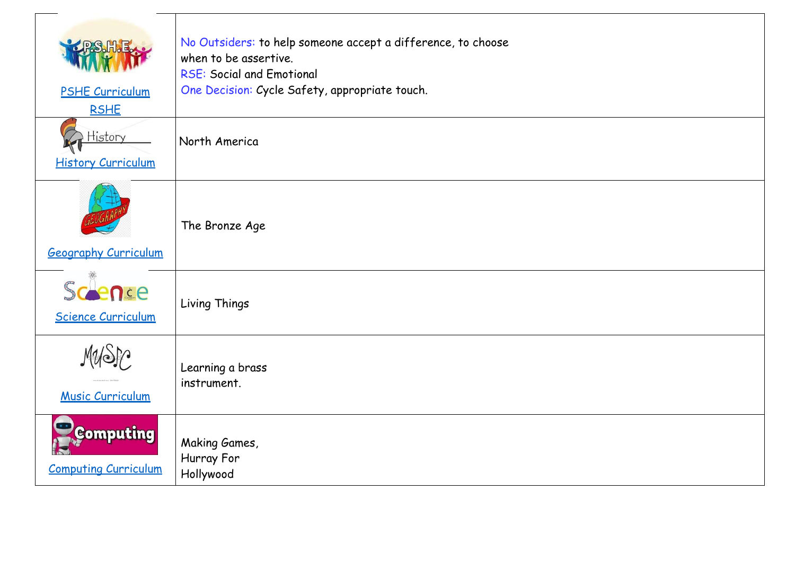| <b>PSHE Curriculum</b><br><b>RSHE</b>           | No Outsiders: to help someone accept a difference, to choose<br>when to be assertive.<br><b>RSE: Social and Emotional</b><br>One Decision: Cycle Safety, appropriate touch. |
|-------------------------------------------------|-----------------------------------------------------------------------------------------------------------------------------------------------------------------------------|
| History<br><b>History Curriculum</b>            | North America                                                                                                                                                               |
| <b>Geography Curriculum</b>                     | The Bronze Age                                                                                                                                                              |
| Scence<br><b>Science Curriculum</b>             | Living Things                                                                                                                                                               |
| <b>Music Curriculum</b>                         | Learning a brass<br>instrument.                                                                                                                                             |
| <b>Computing</b><br><b>Computing Curriculum</b> | Making Games,<br>Hurray For<br>Hollywood                                                                                                                                    |